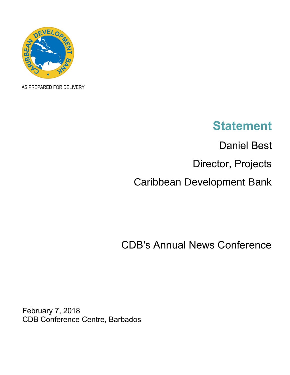

AS PREPARED FOR DELIVERY

## **Statement**

Daniel Best Director, Projects Caribbean Development Bank

CDB's Annual News Conference

February 7, 2018 CDB Conference Centre, Barbados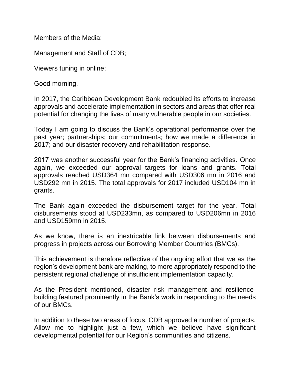Members of the Media;

Management and Staff of CDB;

Viewers tuning in online;

Good morning.

In 2017, the Caribbean Development Bank redoubled its efforts to increase approvals and accelerate implementation in sectors and areas that offer real potential for changing the lives of many vulnerable people in our societies.

Today I am going to discuss the Bank's operational performance over the past year; partnerships; our commitments; how we made a difference in 2017; and our disaster recovery and rehabilitation response.

2017 was another successful year for the Bank's financing activities. Once again, we exceeded our approval targets for loans and grants. Total approvals reached USD364 mn compared with USD306 mn in 2016 and USD292 mn in 2015. The total approvals for 2017 included USD104 mn in grants.

The Bank again exceeded the disbursement target for the year. Total disbursements stood at USD233mn, as compared to USD206mn in 2016 and USD159mn in 2015.

As we know, there is an inextricable link between disbursements and progress in projects across our Borrowing Member Countries (BMCs).

This achievement is therefore reflective of the ongoing effort that we as the region's development bank are making, to more appropriately respond to the persistent regional challenge of insufficient implementation capacity.

As the President mentioned, disaster risk management and resiliencebuilding featured prominently in the Bank's work in responding to the needs of our BMCs.

In addition to these two areas of focus, CDB approved a number of projects. Allow me to highlight just a few, which we believe have significant developmental potential for our Region's communities and citizens.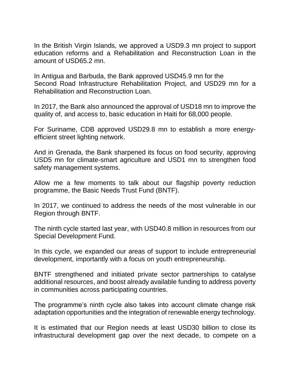In the British Virgin Islands, we approved a USD9.3 mn project to support education reforms and a Rehabilitation and Reconstruction Loan in the amount of USD65.2 mn.

In Antigua and Barbuda, the Bank approved USD45.9 mn for the Second Road Infrastructure Rehabilitation Project, and USD29 mn for a Rehabilitation and Reconstruction Loan.

In 2017, the Bank also announced the approval of USD18 mn to improve the quality of, and access to, basic education in Haiti for 68,000 people.

For Suriname, CDB approved USD29.8 mn to establish a more energyefficient street lighting network.

And in Grenada, the Bank sharpened its focus on food security, approving USD5 mn for climate-smart agriculture and USD1 mn to strengthen food safety management systems.

Allow me a few moments to talk about our flagship poverty reduction programme, the Basic Needs Trust Fund (BNTF).

In 2017, we continued to address the needs of the most vulnerable in our Region through BNTF.

The ninth cycle started last year, with USD40.8 million in resources from our Special Development Fund.

In this cycle, we expanded our areas of support to include entrepreneurial development, importantly with a focus on youth entrepreneurship.

BNTF strengthened and initiated private sector partnerships to catalyse additional resources, and boost already available funding to address poverty in communities across participating countries.

The programme's ninth cycle also takes into account climate change risk adaptation opportunities and the integration of renewable energy technology.

It is estimated that our Region needs at least USD30 billion to close its infrastructural development gap over the next decade, to compete on a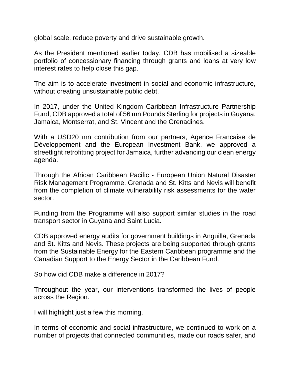global scale, reduce poverty and drive sustainable growth.

As the President mentioned earlier today, CDB has mobilised a sizeable portfolio of concessionary financing through grants and loans at very low interest rates to help close this gap.

The aim is to accelerate investment in social and economic infrastructure, without creating unsustainable public debt.

In 2017, under the United Kingdom Caribbean Infrastructure Partnership Fund, CDB approved a total of 56 mn Pounds Sterling for projects in Guyana, Jamaica, Montserrat, and St. Vincent and the Grenadines.

With a USD20 mn contribution from our partners, Agence Francaise de Développement and the European Investment Bank, we approved a streetlight retrofitting project for Jamaica, further advancing our clean energy agenda.

Through the African Caribbean Pacific - European Union Natural Disaster Risk Management Programme, Grenada and St. Kitts and Nevis will benefit from the completion of climate vulnerability risk assessments for the water sector.

Funding from the Programme will also support similar studies in the road transport sector in Guyana and Saint Lucia.

CDB approved energy audits for government buildings in Anguilla, Grenada and St. Kitts and Nevis. These projects are being supported through grants from the Sustainable Energy for the Eastern Caribbean programme and the Canadian Support to the Energy Sector in the Caribbean Fund.

So how did CDB make a difference in 2017?

Throughout the year, our interventions transformed the lives of people across the Region.

I will highlight just a few this morning.

In terms of economic and social infrastructure, we continued to work on a number of projects that connected communities, made our roads safer, and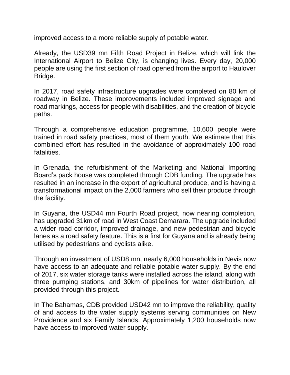improved access to a more reliable supply of potable water.

Already, the USD39 mn Fifth Road Project in Belize, which will link the International Airport to Belize City, is changing lives. Every day, 20,000 people are using the first section of road opened from the airport to Haulover Bridge.

In 2017, road safety infrastructure upgrades were completed on 80 km of roadway in Belize. These improvements included improved signage and road markings, access for people with disabilities, and the creation of bicycle paths.

Through a comprehensive education programme, 10,600 people were trained in road safety practices, most of them youth. We estimate that this combined effort has resulted in the avoidance of approximately 100 road fatalities.

In Grenada, the refurbishment of the Marketing and National Importing Board's pack house was completed through CDB funding. The upgrade has resulted in an increase in the export of agricultural produce, and is having a transformational impact on the 2,000 farmers who sell their produce through the facility.

In Guyana, the USD44 mn Fourth Road project, now nearing completion, has upgraded 31km of road in West Coast Demarara. The upgrade included a wider road corridor, improved drainage, and new pedestrian and bicycle lanes as a road safety feature. This is a first for Guyana and is already being utilised by pedestrians and cyclists alike.

Through an investment of USD8 mn, nearly 6,000 households in Nevis now have access to an adequate and reliable potable water supply. By the end of 2017, six water storage tanks were installed across the island, along with three pumping stations, and 30km of pipelines for water distribution, all provided through this project.

In The Bahamas, CDB provided USD42 mn to improve the reliability, quality of and access to the water supply systems serving communities on New Providence and six Family Islands. Approximately 1,200 households now have access to improved water supply.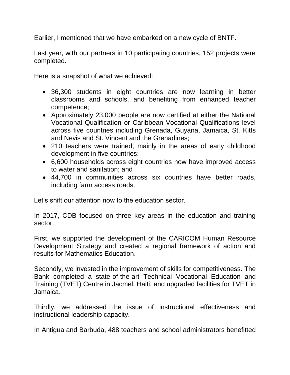Earlier, I mentioned that we have embarked on a new cycle of BNTF.

Last year, with our partners in 10 participating countries, 152 projects were completed.

Here is a snapshot of what we achieved:

- 36,300 students in eight countries are now learning in better classrooms and schools, and benefiting from enhanced teacher competence;
- Approximately 23,000 people are now certified at either the National Vocational Qualification or Caribbean Vocational Qualifications level across five countries including Grenada, Guyana, Jamaica, St. Kitts and Nevis and St. Vincent and the Grenadines;
- 210 teachers were trained, mainly in the areas of early childhood development in five countries;
- 6,600 households across eight countries now have improved access to water and sanitation; and
- 44,700 in communities across six countries have better roads, including farm access roads.

Let's shift our attention now to the education sector.

In 2017, CDB focused on three key areas in the education and training sector.

First, we supported the development of the CARICOM Human Resource Development Strategy and created a regional framework of action and results for Mathematics Education.

Secondly, we invested in the improvement of skills for competitiveness. The Bank completed a state-of-the-art Technical Vocational Education and Training (TVET) Centre in Jacmel, Haiti, and upgraded facilities for TVET in Jamaica.

Thirdly, we addressed the issue of instructional effectiveness and instructional leadership capacity.

In Antigua and Barbuda, 488 teachers and school administrators benefitted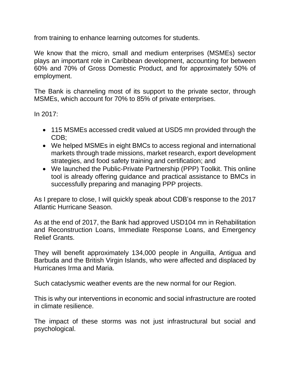from training to enhance learning outcomes for students.

We know that the micro, small and medium enterprises (MSMEs) sector plays an important role in Caribbean development, accounting for between 60% and 70% of Gross Domestic Product, and for approximately 50% of employment.

The Bank is channeling most of its support to the private sector, through MSMEs, which account for 70% to 85% of private enterprises.

In 2017:

- 115 MSMEs accessed credit valued at USD5 mn provided through the CDB;
- We helped MSMEs in eight BMCs to access regional and international markets through trade missions, market research, export development strategies, and food safety training and certification; and
- We launched the Public-Private Partnership (PPP) Toolkit. This online tool is already offering guidance and practical assistance to BMCs in successfully preparing and managing PPP projects.

As I prepare to close, I will quickly speak about CDB's response to the 2017 Atlantic Hurricane Season.

As at the end of 2017, the Bank had approved USD104 mn in Rehabilitation and Reconstruction Loans, Immediate Response Loans, and Emergency Relief Grants.

They will benefit approximately 134,000 people in Anguilla, Antigua and Barbuda and the British Virgin Islands, who were affected and displaced by Hurricanes Irma and Maria.

Such cataclysmic weather events are the new normal for our Region.

This is why our interventions in economic and social infrastructure are rooted in climate resilience.

The impact of these storms was not just infrastructural but social and psychological.